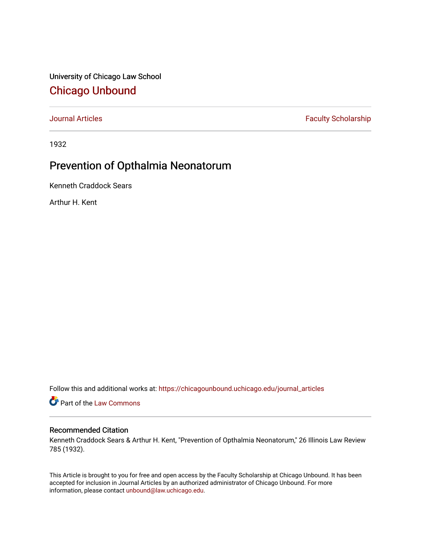University of Chicago Law School [Chicago Unbound](https://chicagounbound.uchicago.edu/)

[Journal Articles](https://chicagounbound.uchicago.edu/journal_articles) **Faculty Scholarship Faculty Scholarship** 

1932

## Prevention of Opthalmia Neonatorum

Kenneth Craddock Sears

Arthur H. Kent

Follow this and additional works at: [https://chicagounbound.uchicago.edu/journal\\_articles](https://chicagounbound.uchicago.edu/journal_articles?utm_source=chicagounbound.uchicago.edu%2Fjournal_articles%2F9308&utm_medium=PDF&utm_campaign=PDFCoverPages) 

Part of the [Law Commons](http://network.bepress.com/hgg/discipline/578?utm_source=chicagounbound.uchicago.edu%2Fjournal_articles%2F9308&utm_medium=PDF&utm_campaign=PDFCoverPages)

## Recommended Citation

Kenneth Craddock Sears & Arthur H. Kent, "Prevention of Opthalmia Neonatorum," 26 Illinois Law Review 785 (1932).

This Article is brought to you for free and open access by the Faculty Scholarship at Chicago Unbound. It has been accepted for inclusion in Journal Articles by an authorized administrator of Chicago Unbound. For more information, please contact [unbound@law.uchicago.edu](mailto:unbound@law.uchicago.edu).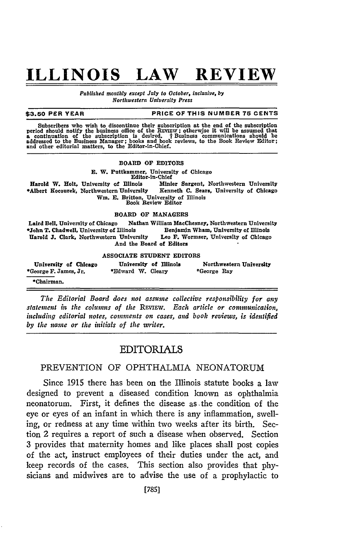# **ILLINOIS LAW REVIEW**

*Published monthly except July to October, inclusive, by Northwestern University Press*

### **\$3.60 PER YEAR PRICE OF THIS NUMBER 75 CENTS**

Subscribers who wish to discontinue their subscription at the end of the subscription<br>period should notify the business office of the REVIEW; otherwise it will be assumed that<br>a continuation of the subscription is desired.

#### BOARD **OF** EDITORS

**E.** W. Puttkammer, University of Chicago

Editor-in-Chief<br>inois Minier Sargent, Northwestern University Harold W. Holt, University of Illinois \*Albert Kocourek, Northwestern University Kenneth **C.** Sears, University of Chicago **Win. E.** Britton, University of Illinois Book Review Editor

#### BOARD OF **MANAGERS**

Laird Bell, University of Chicago Nathan William MacChesney, Northwestern University \*John T. Chadwell, University of Illinois Benjamin Wham, University of Illinois Harold *3.* Clark, Northwestern University Leo **F.** Wormser, University of Chicago And the Board of Editors

#### **ASSOCIATE STUDENT** EDITORS

| University of Chicago | University of Illinois | Northwestern University |
|-----------------------|------------------------|-------------------------|
| *George F. James. Jr. | *Edward W. Cleary      | *George Ray             |
| *Chairman.            |                        |                         |

*The Editorial Board does not assume collective responsibility for any statement in the columns of the* REVIEW. *Each article or communication, including editorial notes, comments on cases, and book reviews, is identified by the name or the initials of the writer.*

## **EDITORIALS**

## PREVENTION OF OPHTHALMIA NEONATORUM

Since 1915 there has been on the Illinois statute books a law designed to prevent a diseased condition known as ophthalmia neonatorum. First, it defines the disease as the condition of the eye or eyes of an infant in which there is any inflammation, swelling, or redness at any time within two weeks after its birth. Section 2 requires a report of such a disease when observed. Section 3 provides that maternity homes and like places shall post copies of the act, instruct employees of their duties under the act, and keep records of the cases. This section also provides that physicians and midwives are to advise the use of a prophylactic to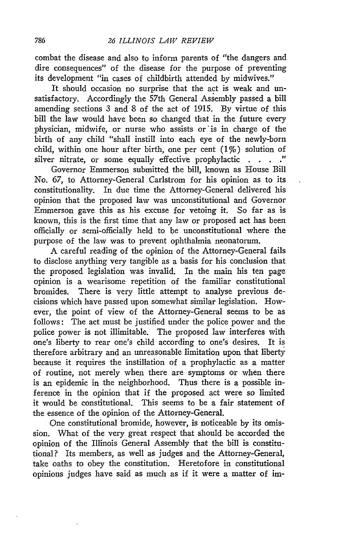combat the disease and also to inform parents of "the dangers and dire consequences" of the disease for the purpose of preventing its development "in cases of childbirth attended **by** midwives."

It should occasion no surprise that the act is weak and unsatisfactory. Accordingly the 57th General Assembly passed a bill amending sections 3 and 8 of the act of **1915. By** virtue of this bill the law would have been so changed that in the future every physician, midwife, or nurse who assists or'is in charge of the birth of any child "shall instill into each eye of the newly-born child, within one hour after birth, one per cent (1%) solution of silver nitrate, or some equally effective prophylactic . . . . "

Governor Emmerson submitted the bill, known as House Bill No. *67,* to Attorney-General Carlstrom for his opinion as to its constitutionality. In due time the Attorney-General delivered his opinion that the proposed law was unconstitutional and Governor Emmerson gave this as his excuse for vetoing it. So far as is known, this is the first time that any law or proposed act has been officially or semi-officially held to be unconstitutional where the purpose of the law was to prevent ophthalmia neonatorum.

A careful reading of the opinion of the Attorney-General fails to disclose anything very tangible as a basis for his conclusion that the proposed legislation was invalid. In the main his ten page opinion is a wearisome repetition of the familiar constitutional bromides. There is very little attempt to analyse previous decisions which have passed upon somewhat similar legislation. However, the point of view of the Attorney-General seems to be as follows: The act must be justified under the police power and the police power is not illimitable. The proposed law interferes with one's liberty to rear one's child according to one's desires. It is therefore arbitrary and an unreasonable limitation upon that liberty because it requires the instillation of a prophylactic as a matter of routine, not merely when there are symptoms or when there is an epidemic in the neighborhood. Thus there is a possible inference in the opinion that if the proposed act were so limited it would be constitutional. This seems to be a fair statement of the essence of the opinion of the Attorney-General.

One constitutional bromide, however, is noticeable by its omission. What of the very great respect that should be accorded the opinion of the Illinois General Assembly that the bill is constitutional? Its members, as well as judges and the Attorney-General, take oaths to obey the constitution. Heretofore in constitutional opinions judges have said as much as if it were a matter of im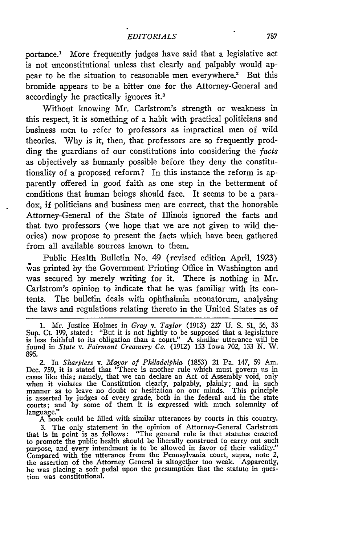portance.' More frequently judges have said that a legislative act is not unconstitutional unless that clearly and palpably would appear to be the situation to reasonable men everywhere.<sup>2</sup> But this bromide appears to be a bitter one for the Attorney-General and accordingly he practically ignores it.3

Without knowing Mr. Carlstrom's strength or weakness in this respect, it is something of a habit with practical politicians and business men to refer to professors as impractical men of wild theories. Why is it, then, that professors are so frequently prodding the guardians of our constitutions into considering the facts as objectively as humanly possible before they deny the constitutionality of a proposed reform? In this instance the reform is apparently offered in good faith as one step in the betterment of conditions that human beings should face. It seems to be a paradox, if politicians and business men are correct, that the honorable Attorney-General of the State of Illinois ignored the facts and that two professors (we hope that we are not given to wild theories) now propose to present the facts which have been gathered from all available sources known to them.

Public Health Bulletin No. 49 (revised edition April, 1923) was printed by the Government Printing Office in Washington and was secured by merely writing for it. There is nothing in Mr. Carlstrom's opinion to indicate that he was familiar with its contents. The bulletin deals with ophthalmia neonatorum, analysing the laws and regulations relating thereto in the United States as of

1. Mr. Justice Holmes in *Gray v. Taylor* (1913) *227* U. S. 51, 56, 33 Sup. Ct. 199, stated: "But it is not lightly to be supposed that a legislature is less faithful to its obligation than a court." A similar utterance will be found in *State v. Fairmont Creamery Co.* (1912) 153 Iowa 702, 133 N. W. 895.

2. In *Sharpless v. Mayor of Philadelphia* (1853) 21 Pa. 147, 59 Am. Dec. 759, it is stated that "There is another rule which must govern us in cases like this; namely, that we can declare an Act of Assembly void, only when it violates the Constitution clearly, palpably, plainly; and in such manner as to leave no doubt or hesitation on our minds. This principle is asserted by judges of every grade, both in the federal and in the state courts; and by some of them it is expressed with much solemnity of language."

A book could be filled with similar utterances by courts in this country.

3. The only statement in the opinion of Attorney-General Carlstrom that is in point is as follows: "The general rule is that statutes enacted to promote the public health should be liberally construed to carry out such purpose, and every intendment is to be allowed in favor of their validity." Compared with the utterance from the Pennsylvania court, supra, note 2, the assertion of the Attorney General is altogether too weak. Apparently he was placing a soft pedal upon the presumption that the statute in question was constitutional.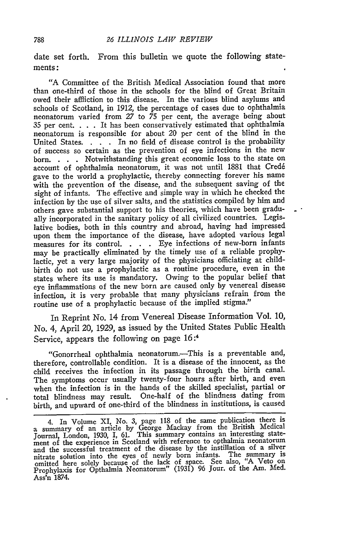date set forth. From this bulletin we quote the following statements:

"A Committee of the British Medical Association found that more than one-third of those in the schools for the blind of Great Britain owed their affliction to this disease. In the various blind asylums and schools of Scotland, in 1912, the percentage of cases due to ophthalmia neonatorum varied from 27 to 75 per cent, the average being about 35 per cent. . **.** . It has been conservatively estimated that ophthalmia neonatorum is responsible for about 20 per cent of the blind in the United States. . . **.** In no field of disease control is the probability of success so certain as the prevention of eye infections in the new born. . **.** . Notwithstanding this great economic loss to the state on account of ophthalmia neonatorum, it was not until 1881 that Cred6 gave to the world a prophylactic, thereby connecting forever his name with the prevention of the disease, and the subsequent saving of the sight of infants. The effective and simple way in which he checked the infection by the use of silver salts, and the statistics compiled by him and others gave substantial support to his theories, which have been gradually incorporated in the sanitary policy of all civilized countries. Legislative bodies, both in this country and abroad, having had impressed upon them the importance of the disease, have adopted various legal measures for its control. . **.** . Eye infections of new-born infants may be practically eliminated by the timely use of a reliable prophylactic, yet a very large majority of the physicians officiating at childbirth do not use a prophylactic as a routine procedure, even in the states where its use is mandatory. Owing to the popular belief that eye inflammations of the new born are caused only by venereal disease infection, it is very probable that many physicians refrain from the routine use of a prophylactic because of the implied stigma."

In Reprint No. 14 from Venereal Disease Information Vol. 10, No. 4, April 20, 1929, as issued by the United States Public Health Service, appears the following on page  $16$ :<sup>4</sup>

"Gonorrheal ophthalmia neonatorum.-This is a preventable and, therefore, controllable condition. It is a disease of the innocent, as the child receives the infection in its passage through the birth canal. The symptoms occur usually twenty-four hours after birth, and even when the infection is in the hands of the skilled specialist, partial or total blindness may result. One-half of the blindness dating from birth, and upward of one-third of the blindness in institutions, is caused

<sup>4.</sup> In Volume XI, No. 3, page 118 of the same publication there is a summary of an article by George Mackay from the British Medical Journal, London, 1930, I, 61. This summary contains an interesting statement of the experience in Scotland with reference to opthalmia neonatorum and the successful treatment of the disease by the instillation of a silver nitrate solution into the eyes of newly born infants. The summary is omitted here solely because of the lack of space. See also, "A Veto on Prophylaxis for Opthalmia Neonatorum" (1931) 96 Jour. of the Am. Med. Ass'n 1874.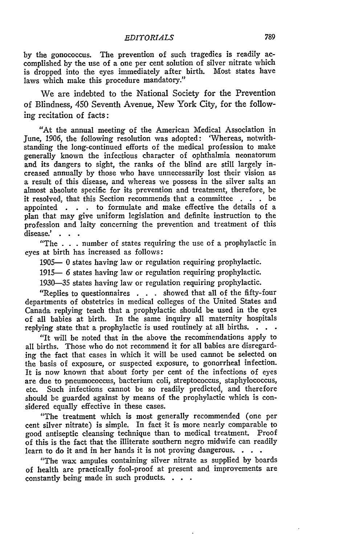by the gonococcus. The prevention of such tragedies is readily accomplished by the use of a one per cent solution of silver nitrate which is dropped into the eyes immediately after birth. Most states have laws which make this procedure mandatory."

We are indebted to the National Society for the Prevention of Blindness, 450 Seventh Avenue, New York City, for the following recitation of facts:

"At the annual meeting of the American Medical Association in June, 1906, the following resolution was adopted: 'Whereas, notwithstanding the long-continued efforts of the medical profession to make generally known the infectious character of ophthalmia neonatorum and its dangers to sight, the ranks of the blind are still largely increased annually by those who have unnecessarily lost their vision as a result of this disease, and whereas we possess in the silver salts an almost absolute specific for its prevention and treatment, therefore, be it resolved, that this Section recommends that a committee . . . be appointed . . . to formulate and make effective the details of a plan that may give uniform legislation and definite instruction to the profession and laity concerning the prevention and treatment of this disease.<sup>*'*</sup> . . .

"The . . . number of states requiring the use of a prophylactic in eyes at birth has increased as follows:

1905- 0 states having law or regulation requiring prophylactic.

1915- 6 states having law or regulation requiring prophylactic.

1930-35 states having law or regulation requiring prophylactic.

"Replies to questionnaires . . . showed that all of the fifty-four departments of obstetrics in medical colleges of the United States and Canada replying teach that a prophylactic should be used in the eyes of all babies at birth. In the same inquiry all maternity hospitals replying state that a prophylactic is used routinely at all births.

"It will be noted that in the above the recommendations apply to all births. Those who do not recommend it for all babies are disregarding the fact that cases in which it will be used cannot be selected on the basis of exposure, or suspected exposure, to gonorrheal infection. It is now known that about forty per cent of the infections of eyes are due to pneumococcus, bacterium coli, streptococcus, staphylococcus, etc. Such infections cannot be so readily predicted, and therefore should be guarded against by means of the prophylactic which is considered equally effective in these cases.

"The treatment which is most generally recommended (one per cent silver nitrate) is simple. In fact it is more nearly comparable to good antiseptic cleansing technique than to medical treatment. Proof of this is the fact that the illiterate southern negro midwife can readily learn to do it and in her hands it is not proving dangerous. **.**

"The wax ampules containing silver nitrate as supplied by boards of health are practically fool-proof at present and improvements are constantly being made in such products. . **..**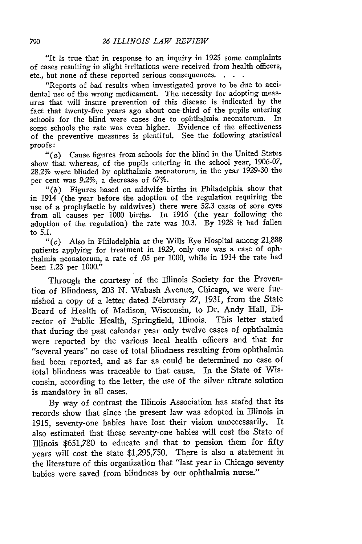"It is true that in response to an inquiry in 1925 some complaints of cases resulting in slight irritations were received from health officers, etc., but none of these reported serious consequences.

"Reports of bad results when investigated prove to be due to accidental use of the wrong medicament. The necessity for adopting measures that will insure prevention of this disease is indicated by the fact that twenty-five years ago about one-third of the pupils entering schools for the blind were cases due to ophthalmia neonatorum. some schools the rate was even higher. Evidence of the effectiveness of the preventive measures is plentiful. See the following statistical proofs:

" $(a)$  Cause figures from schools for the blind in the United States show that whereas, of the pupils entering in the school year, 1906-07, 28.2% were blinded by ophthalmia neonatorum, in the year 1929-30 the per cent was 9.2%, a decrease of 67%.

*"(b)* Figures based on midwife births in Philadelphia show that in 1914 (the year before the adoption of the regulation requiring the use of a prophylactic by midwives) there were 52.3 cases of sore eyes from all causes per 1000 births. In 1916 (the year following the adoption of the regulation) the rate was 10.3. By 1928 it had fallen to 5.1.

" $(c)$  Also in Philadelphia at the Wills Eye Hospital among 21,888 patients applying for treatment in *1929,* only one was a case of ophthalmia neonatorum, a rate of .05 per 1000, while in 1914 the rate had been 1.23 per 1000."

Through the courtesy of the Illinois Society for the Prevention of Blindness, 203 N. Wabash Avenue, Chicago, we were furnished a copy of a letter dated February 27, 1931, from the State Board of Health of Madison, Wisconsin, to Dr. Andy Hall, Director of Public Health, Springfield, Illinois. This letter stated that during the past calendar year only twelve cases of ophthalmia were reported by the various local health officers and that for "several years" no case of total blindness resulting from ophthalmia had been reported, and as far as could be determined no case of total blindness was traceable to that cause. In the State of Wisconsin, according to the letter, the use of the silver nitrate solution is mandatory in all cases.

By way of contrast the Illinois Association has stated that its records show that since the present law was adopted in Illinois in 1915, seventy-one babies have lost their vision unnecessarily. It also estimated that these seventy-one babies will cost the State of Illinois \$651,780 to educate and that to pension them for fifty years will cost the state \$1,295,750. There is also a statement in the literature of this organization that "last year in Chicago seventy babies were saved from blindness by our ophthalmia nurse."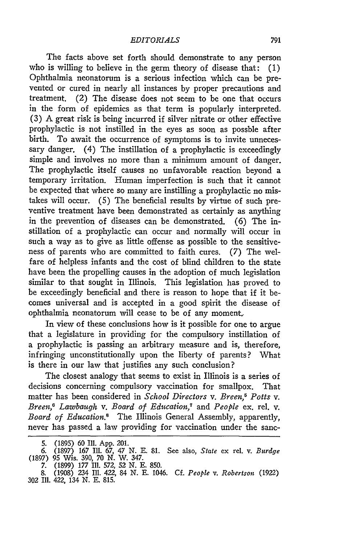The facts above set forth should demonstrate to any person who is willing to believe in the germ theory of disease that: **(1)** Ophthalmia neonatorum is a serious infection which can be prevented or cured in nearly all instances **by** proper precautions and treatment. (2) The disease does not seem to be one that occurs in the form of epidemics as that term is popularly interpreted. **(3) A** great risk is being incurred if silver nitrate or other effective prophylactic is not instilled in the eyes as soon as possble after birth. To await the occurrence of symptoms is to invite unnecessary danger. (4) The instillation of a prophylactic is exceedingly simple and involves no more than a minimum amount of danger. The prophylactic itself causes no unfavorable reaction beyond a temporary irritation. Human imperfection is such that it cannot be expected that where so many are instilling a prophylactic no mistakes will occur. **(5)** The beneficial results **by** virtue of such preventive treatment have been demonstrated as certainly as anything in the prevention of diseases can be demonstrated. **(6)** The instillation of a prophylactic can occur and normally will occur in such a way as to give as little offense as possible to the sensitiveness of parents who are committed to faith cures. **(7)** The welfare of helpless infants and the cost of blind children to the state have been the propelling causes in the adoption of much legislation similar to that sought in Illinois. This legislation has proved to be exceedingly beneficial and there is reason to hope that if it becomes universal and is accepted in a good spirit the disease of ophthalmia neonatorum will cease to be of any moment,

In view of these conclusions how is it possible for one to argue that a legislature in providing for the compulsory instillation of a prophylactic is passing an arbitrary measure and is, therefore, infringing unconstitutionally upon the liberty of parents? What is there in our **law** that justifies any such conclusion?

The closest analogy that seems to exist in Illinois is a series of decisions concerning compulsory vaccination for smallpox. That matter has been considered in *School Directors v. Breen,5 Potts v. Breen,6 Lawbaugh v. Board of Education,7* and *People* ex. rel. v. *Board of Education.8* The Illinois General Assembly, apparently, never has passed a law providing for vaccination under the sanc-

**<sup>5. (1895) 60</sup> IlL. App.** 201.

**<sup>6. (1897) 167</sup> Ill. 67,** 47 **N. E. 81.** See also, *State* ex rel. v. *Burdge* **(1897) 95** Wis. **390, 70 N.** W. 347.

**<sup>7. (1899) 177</sup>** I1. **572, 52 N. E. 850.**

**<sup>8. (1908)</sup>** 234 **Ill.** 422, 84 **N. E.** 1046. **Cf.** *People v. Robertson* **(1922) 302** I1. 422, 134 **N. E. 815.**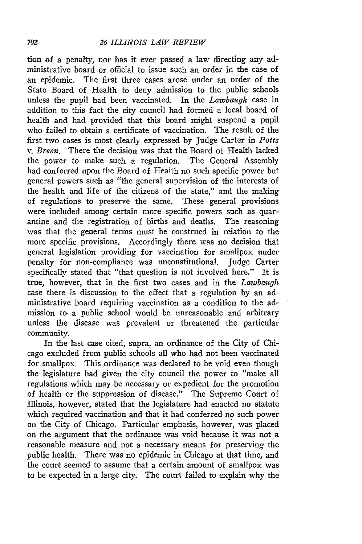tion of a penalty, nor has it ever passed a law directing any administrative board or official to issue such an order in the case of an epidemic. The first three cases arose under an order of the State Board of Health to deny admission to the public schools unless the pupil had been vaccinated. In the *Lawbaugh* case in addition to this fact the city council had formed a local board of health and had provided that this board might suspend a pupil who failed to obtain a certificate of vaccination. The result of the first two cases is most clearly expressed by Judge Carter in *Potts v. Breen.* There the decision was that the Board of Health lacked the power to make such a regulation. The General Assembly had conferred upon the Board of Health no such specific power but general powers such as "the general supervision of the interests of the health and life of the citizens of the state," and the making of regulations to preserve the same. These general provisions were included among certain more specific powers such as quarantine and the registration of births and deaths. The reasoning was that the general terms must be construed in relation to the more specific provisions. Accordingly there was no decision that general legislation providing for vaccination for smallpox under penalty for non-compliance was unconstitutional. Judge Carter specifically stated that "that question is not involved here." It is true, however, that in the first two cases and in the *Lawbaugh* case there is discussion to the effect that a regulation by an administrative board requiring vaccination as a condition to the admission to, a public school would be unreasonable and arbitrary unless the disease was prevalent or threatened the particular community.

In the last case cited, supra, an ordinance of the City of Chicago excluded from public schools all who had not been vaccinated for smallpox. This ordinance was declared to be void even though the legislature had given the city council the power to "make all regulations which may be necessary or expedient for the promotion of health or the suppression of disease." The Supreme Court of Illinois, however, stated that the legislature had enacted no statute which required vaccination and that it had conferred no such power on the City of Chicago. Particular emphasis, however, was placed on the argument that the ordinance was void because it was not a reasonable measure and not a necessary means for preserving the public health. There was no epidemic in Chicago at that time, and the court seemed to assume that a certain amount of smallpox was to be expected in a large city. The court failed to explain why the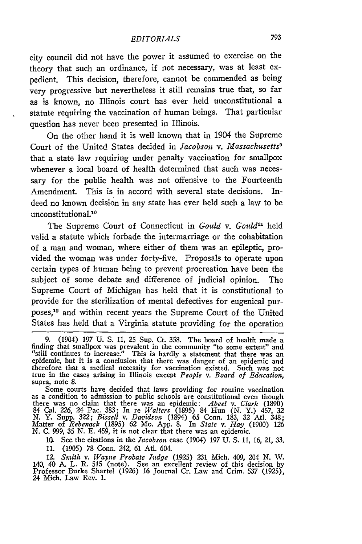city council did not have the power it assumed to exercise on the theory that such an ordinance, if not necessary, was at least expedient. This decision, therefore, cannot be commended as being very progressive but nevertheless it still remains true that, so far as is known, no Illinois court has ever held unconstitutional a statute requiring the vaccination of human beings. That particular question has never been presented in Illinois.

On the other hand it is well known that in 1904 the Supreme Court of the United States decided in *Jacobson v. Massachusetts9* that a state law requiring under penalty vaccination for smallpox whenever a local board of health determined that such was necessary for the public health was not offensive to the Fourteenth Amendment. This is in accord with several state decisions. Indeed no known decision in any state has ever held such a law to be unconstitutional.<sup>10</sup>

The Supreme Court of Connecticut in *Gould v. Gould"* held valid a statute which forbade the intermarriage or the cohabitation of a man and woman, where either of them was an epileptic, provided the woman was under forty-five. Proposals to operate upon certain types of human being to prevent procreation have been the subject of some debate and difference of judicial opinion. The Supreme Court of Michigan has held that it is constitutional to provide for the sterilization of mental defectives for eugenical purposes,12 and within recent years the Supreme Court of the United States has held that a Virginia statute providing for the operation

Some courts have decided that laws providing for routine vaccination as a condition to admission to public schools are constitutional even though as a condition to admission to public schools are constitutional even though there was no claim that there was an epidemic: *Abeel v. Clark* (1890) 84 Cal. 226, 24 Pac. 383; In re Walters (1895) 84 Hun (N. Y.) 457, 32<br>N. Y. Supp. 322; Bissell v. Davidson (1894) 65 Conn. 183, 32 Atl. 348;<br>Matter of Rebenack (1895) 62 Mo. App. 8. In State v. Hay (1900) 126 N. C. 999, 35 N. E. 459, it is not clear that there was an epidemic.

**1O** See the citations in the *Jacobson* case (1904) 197 U. **S.** 11, 16, 21, 33. 11. (1905) 78 Conn. 242, 61 Atl. 604.

*12. Smith v. Wayne Probate Judge* (1925) 231 Mich. 409, 204 *N.* W. 140, 40 A. L. R. 515 (note). See an excellent review of this decision by Professor Burke Shartel (1926) 16 Journal Cr. Law and Crim. 537 (1925), 24 Mich. Law Rev. 1.

<sup>9. (1904) 197</sup> U. **S.** 11, 25 Sup. Ct. 358. The board of health made a finding that smallpox was prevalent in the community "to some extent" and "still continues to increase." This is hardly a statement that there was an epidemic, but it is a conclusion that there was danger of an epidemic and therefore that a medical necessity for vaccination existed. Such was not true in the cases arising in Illinois except *People v. Board of Education,* supra, note 8.